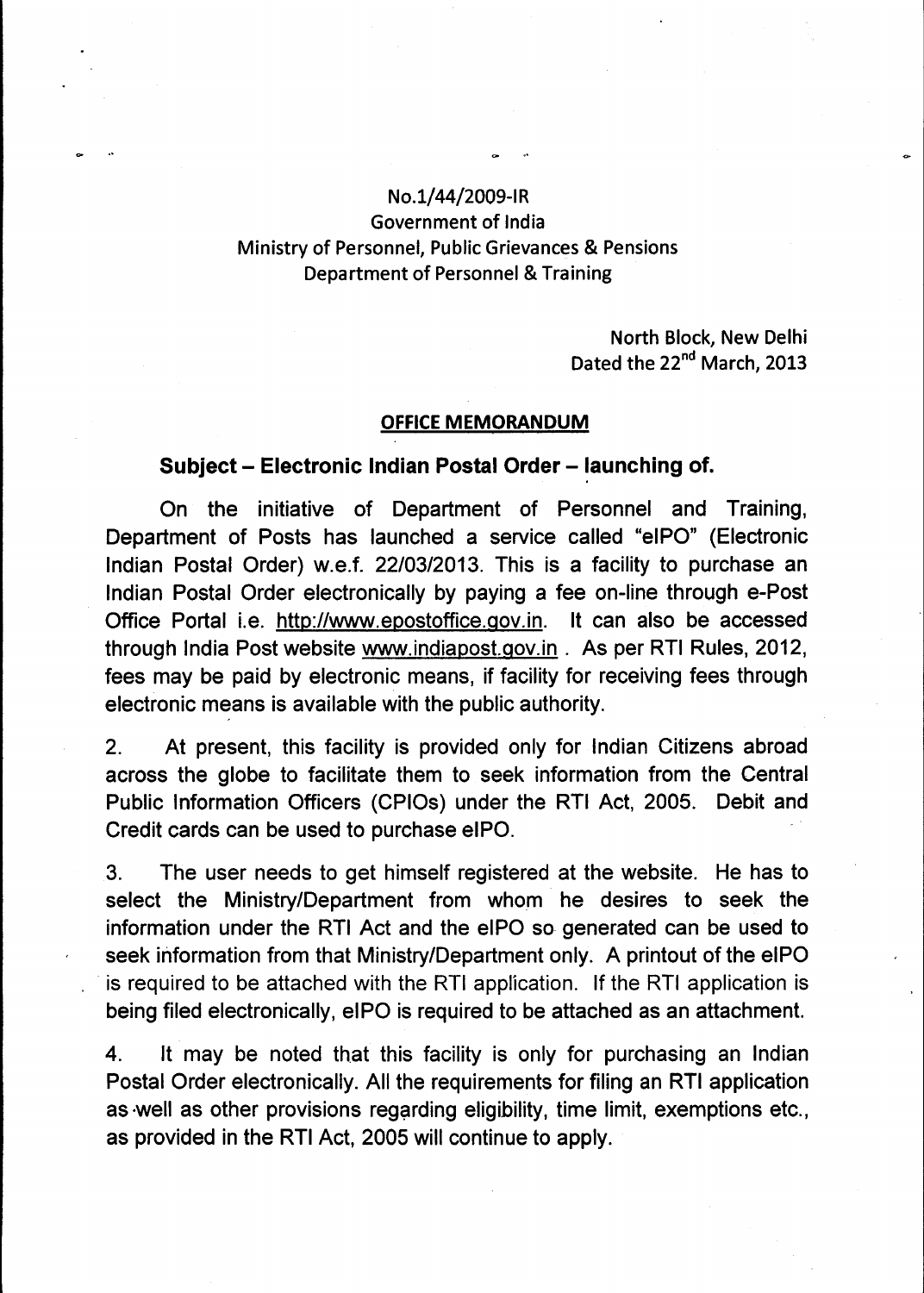## **No.1/44/2009-IR Government of India Ministry of Personnel, Public Grievances & Pensions Department of Personnel & Training**

**North Block, New Delhi**  Dated the 22<sup>nd</sup> March, 2013

## **OFFICE MEMORANDUM**

## **Subject — Electronic Indian Postal Order — launching of.**

**On the initiative of Department of Personnel and Training, Department of Posts has launched a service called "eIPO" (Electronic Indian Postal Order) w.e.f. 22/03/2013. This is a facility to purchase an Indian Postal Order electronically by paying a fee on-line through e-Post Office Portal i.e. http://www.epostoffice.gov.in .It can also be accessed through India Post website www.indiapost.gov.in. As per RTI Rules, 2012, fees may be paid by electronic means, if facility for receiving fees through electronic means is available with the public authority.** 

**2. At present, this facility is provided only for Indian Citizens abroad across the globe to facilitate them to seek information from the Central Public Information Officers (CPIOs) under the RTI Act, 2005. Debit and Credit cards can be used to purchase eIPO.** 

**3. The user needs to get himself registered at the website. He has to select the Ministry/Department from whom he desires to seek the information under the RTI Act and the eIPO so generated can be used to seek information from that Ministry/Department only. A printout of the eIPO**  is required to be attached with the RTI application. If the RTI application is **being filed electronically, elP0 is required to be attached as an attachment.** 

**4. It may be noted that this facility is only for purchasing an Indian Postal Order electronically. All the requirements for filing an RTI application as well as other provisions regarding eligibility, time limit, exemptions etc., as provided in the RTI Act, 2005 will continue to apply.**